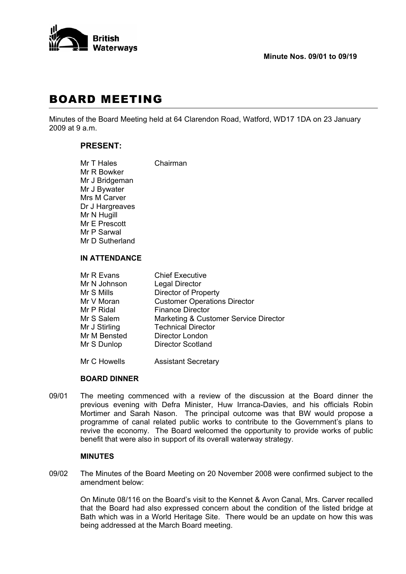

# BOARD MEETING

Minutes of the Board Meeting held at 64 Clarendon Road, Watford, WD17 1DA on 23 January 2009 at 9 a.m.

# **PRESENT:**

| Mr T Hales      | Chairman |
|-----------------|----------|
| Mr R Bowker     |          |
| Mr J Bridgeman  |          |
| Mr J Bywater    |          |
| Mrs M Carver    |          |
| Dr J Hargreaves |          |
| Mr N Hugill     |          |
| Mr E Prescott   |          |
| Mr P Sarwal     |          |
| Mr D Sutherland |          |
|                 |          |

# **IN ATTENDANCE**

| Mr R Evans    | <b>Chief Executive</b>                |
|---------------|---------------------------------------|
| Mr N Johnson  | <b>Legal Director</b>                 |
| Mr S Mills    | <b>Director of Property</b>           |
| Mr V Moran    | <b>Customer Operations Director</b>   |
| Mr P Ridal    | <b>Finance Director</b>               |
| Mr S Salem    | Marketing & Customer Service Director |
| Mr J Stirling | <b>Technical Director</b>             |
| Mr M Bensted  | <b>Director London</b>                |
| Mr S Dunlop   | <b>Director Scotland</b>              |
|               |                                       |

Mr C Howells **Assistant Secretary** 

## **BOARD DINNER**

09/01 The meeting commenced with a review of the discussion at the Board dinner the previous evening with Defra Minister, Huw Irranca-Davies, and his officials Robin Mortimer and Sarah Nason. The principal outcome was that BW would propose a programme of canal related public works to contribute to the Government's plans to revive the economy. The Board welcomed the opportunity to provide works of public benefit that were also in support of its overall waterway strategy.

#### **MINUTES**

09/02 The Minutes of the Board Meeting on 20 November 2008 were confirmed subject to the amendment below:

 On Minute 08/116 on the Board's visit to the Kennet & Avon Canal, Mrs. Carver recalled that the Board had also expressed concern about the condition of the listed bridge at Bath which was in a World Heritage Site. There would be an update on how this was being addressed at the March Board meeting.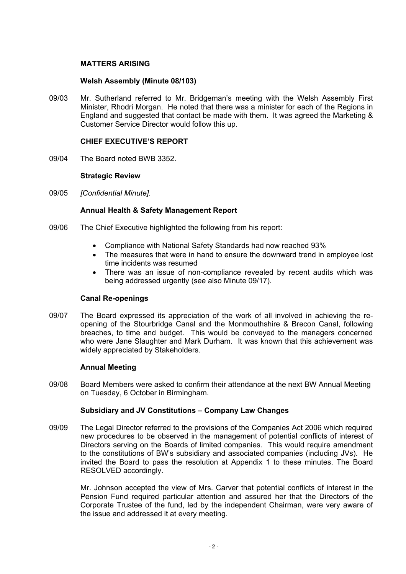# **MATTERS ARISING**

# **Welsh Assembly (Minute 08/103)**

09/03 Mr. Sutherland referred to Mr. Bridgeman's meeting with the Welsh Assembly First Minister, Rhodri Morgan. He noted that there was a minister for each of the Regions in England and suggested that contact be made with them. It was agreed the Marketing & Customer Service Director would follow this up.

## **CHIEF EXECUTIVE'S REPORT**

09/04 The Board noted BWB 3352.

## **Strategic Review**

09/05 *[Confidential Minute].* 

## **Annual Health & Safety Management Report**

- 09/06 The Chief Executive highlighted the following from his report:
	- Compliance with National Safety Standards had now reached 93%
	- The measures that were in hand to ensure the downward trend in employee lost time incidents was resumed
	- There was an issue of non-compliance revealed by recent audits which was being addressed urgently (see also Minute 09/17).

#### **Canal Re-openings**

09/07 The Board expressed its appreciation of the work of all involved in achieving the reopening of the Stourbridge Canal and the Monmouthshire & Brecon Canal, following breaches, to time and budget. This would be conveyed to the managers concerned who were Jane Slaughter and Mark Durham. It was known that this achievement was widely appreciated by Stakeholders.

#### **Annual Meeting**

09/08 Board Members were asked to confirm their attendance at the next BW Annual Meeting on Tuesday, 6 October in Birmingham.

#### **Subsidiary and JV Constitutions – Company Law Changes**

09/09 The Legal Director referred to the provisions of the Companies Act 2006 which required new procedures to be observed in the management of potential conflicts of interest of Directors serving on the Boards of limited companies. This would require amendment to the constitutions of BW's subsidiary and associated companies (including JVs). He invited the Board to pass the resolution at Appendix 1 to these minutes. The Board RESOLVED accordingly.

 Mr. Johnson accepted the view of Mrs. Carver that potential conflicts of interest in the Pension Fund required particular attention and assured her that the Directors of the Corporate Trustee of the fund, led by the independent Chairman, were very aware of the issue and addressed it at every meeting.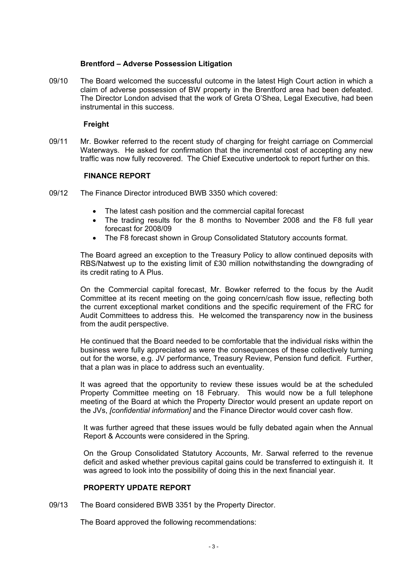# **Brentford – Adverse Possession Litigation**

09/10 The Board welcomed the successful outcome in the latest High Court action in which a claim of adverse possession of BW property in the Brentford area had been defeated. The Director London advised that the work of Greta O'Shea, Legal Executive, had been instrumental in this success.

## **Freight**

09/11 Mr. Bowker referred to the recent study of charging for freight carriage on Commercial Waterways. He asked for confirmation that the incremental cost of accepting any new traffic was now fully recovered. The Chief Executive undertook to report further on this.

## **FINANCE REPORT**

- 09/12 The Finance Director introduced BWB 3350 which covered:
	- The latest cash position and the commercial capital forecast
	- The trading results for the 8 months to November 2008 and the F8 full year forecast for 2008/09
	- The F8 forecast shown in Group Consolidated Statutory accounts format.

 The Board agreed an exception to the Treasury Policy to allow continued deposits with RBS/Natwest up to the existing limit of £30 million notwithstanding the downgrading of its credit rating to A Plus.

 On the Commercial capital forecast, Mr. Bowker referred to the focus by the Audit Committee at its recent meeting on the going concern/cash flow issue, reflecting both the current exceptional market conditions and the specific requirement of the FRC for Audit Committees to address this. He welcomed the transparency now in the business from the audit perspective.

 He continued that the Board needed to be comfortable that the individual risks within the business were fully appreciated as were the consequences of these collectively turning out for the worse, e.g. JV performance, Treasury Review, Pension fund deficit. Further, that a plan was in place to address such an eventuality.

 It was agreed that the opportunity to review these issues would be at the scheduled Property Committee meeting on 18 February. This would now be a full telephone meeting of the Board at which the Property Director would present an update report on the JVs, *[confidential information]* and the Finance Director would cover cash flow.

 It was further agreed that these issues would be fully debated again when the Annual Report & Accounts were considered in the Spring.

 On the Group Consolidated Statutory Accounts, Mr. Sarwal referred to the revenue deficit and asked whether previous capital gains could be transferred to extinguish it. It was agreed to look into the possibility of doing this in the next financial year.

#### **PROPERTY UPDATE REPORT**

09/13 The Board considered BWB 3351 by the Property Director.

The Board approved the following recommendations: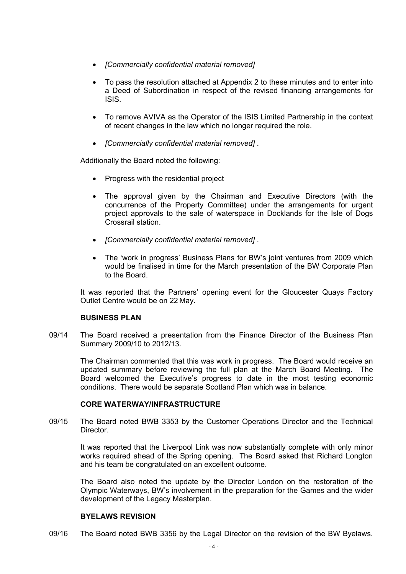- *[Commercially confidential material removed]*
- To pass the resolution attached at Appendix 2 to these minutes and to enter into a Deed of Subordination in respect of the revised financing arrangements for ISIS.
- To remove AVIVA as the Operator of the ISIS Limited Partnership in the context of recent changes in the law which no longer required the role.
- *[Commercially confidential material removed]* .

Additionally the Board noted the following:

- Progress with the residential project
- The approval given by the Chairman and Executive Directors (with the concurrence of the Property Committee) under the arrangements for urgent project approvals to the sale of waterspace in Docklands for the Isle of Dogs Crossrail station.
- *[Commercially confidential material removed]* .
- The 'work in progress' Business Plans for BW's joint ventures from 2009 which would be finalised in time for the March presentation of the BW Corporate Plan to the Board.

 It was reported that the Partners' opening event for the Gloucester Quays Factory Outlet Centre would be on 22 May.

# **BUSINESS PLAN**

09/14 The Board received a presentation from the Finance Director of the Business Plan Summary 2009/10 to 2012/13.

 The Chairman commented that this was work in progress. The Board would receive an updated summary before reviewing the full plan at the March Board Meeting. The Board welcomed the Executive's progress to date in the most testing economic conditions. There would be separate Scotland Plan which was in balance.

# **CORE WATERWAY/INFRASTRUCTURE**

09/15 The Board noted BWB 3353 by the Customer Operations Director and the Technical Director.

 It was reported that the Liverpool Link was now substantially complete with only minor works required ahead of the Spring opening. The Board asked that Richard Longton and his team be congratulated on an excellent outcome.

 The Board also noted the update by the Director London on the restoration of the Olympic Waterways, BW's involvement in the preparation for the Games and the wider development of the Legacy Masterplan.

#### **BYELAWS REVISION**

09/16 The Board noted BWB 3356 by the Legal Director on the revision of the BW Byelaws.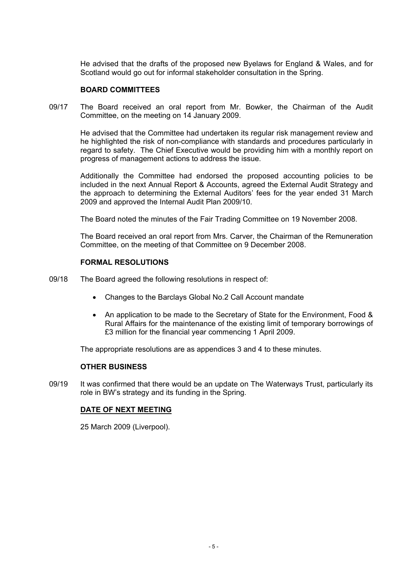He advised that the drafts of the proposed new Byelaws for England & Wales, and for Scotland would go out for informal stakeholder consultation in the Spring.

## **BOARD COMMITTEES**

09/17 The Board received an oral report from Mr. Bowker, the Chairman of the Audit Committee, on the meeting on 14 January 2009.

 He advised that the Committee had undertaken its regular risk management review and he highlighted the risk of non-compliance with standards and procedures particularly in regard to safety. The Chief Executive would be providing him with a monthly report on progress of management actions to address the issue.

 Additionally the Committee had endorsed the proposed accounting policies to be included in the next Annual Report & Accounts, agreed the External Audit Strategy and the approach to determining the External Auditors' fees for the year ended 31 March 2009 and approved the Internal Audit Plan 2009/10.

The Board noted the minutes of the Fair Trading Committee on 19 November 2008.

 The Board received an oral report from Mrs. Carver, the Chairman of the Remuneration Committee, on the meeting of that Committee on 9 December 2008.

## **FORMAL RESOLUTIONS**

- 09/18 The Board agreed the following resolutions in respect of:
	- Changes to the Barclays Global No.2 Call Account mandate
	- An application to be made to the Secretary of State for the Environment, Food & Rural Affairs for the maintenance of the existing limit of temporary borrowings of £3 million for the financial year commencing 1 April 2009.

The appropriate resolutions are as appendices 3 and 4 to these minutes.

#### **OTHER BUSINESS**

09/19 It was confirmed that there would be an update on The Waterways Trust, particularly its role in BW's strategy and its funding in the Spring.

# **DATE OF NEXT MEETING**

25 March 2009 (Liverpool).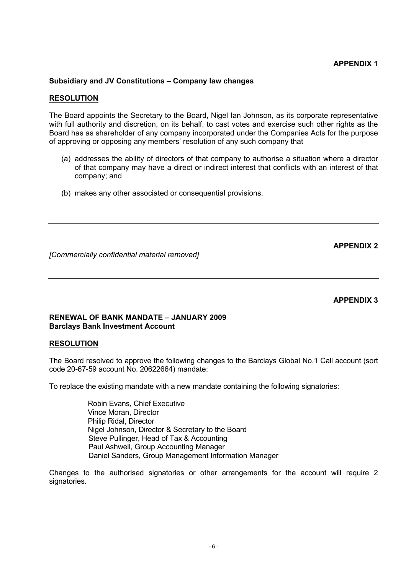# **APPENDIX 1**

## **Subsidiary and JV Constitutions – Company law changes**

#### **RESOLUTION**

The Board appoints the Secretary to the Board, Nigel Ian Johnson, as its corporate representative with full authority and discretion, on its behalf, to cast votes and exercise such other rights as the Board has as shareholder of any company incorporated under the Companies Acts for the purpose of approving or opposing any members' resolution of any such company that

- (a) addresses the ability of directors of that company to authorise a situation where a director of that company may have a direct or indirect interest that conflicts with an interest of that company; and
- (b) makes any other associated or consequential provisions.

**APPENDIX 2** 

*[Commercially confidential material removed]*

#### **APPENDIX 3**

# **RENEWAL OF BANK MANDATE – JANUARY 2009 Barclays Bank Investment Account**

#### **RESOLUTION**

The Board resolved to approve the following changes to the Barclays Global No.1 Call account (sort code 20-67-59 account No. 20622664) mandate:

To replace the existing mandate with a new mandate containing the following signatories:

Robin Evans, Chief Executive Vince Moran, Director Philip Ridal, Director Nigel Johnson, Director & Secretary to the Board Steve Pullinger, Head of Tax & Accounting Paul Ashwell, Group Accounting Manager Daniel Sanders, Group Management Information Manager

Changes to the authorised signatories or other arrangements for the account will require 2 signatories.